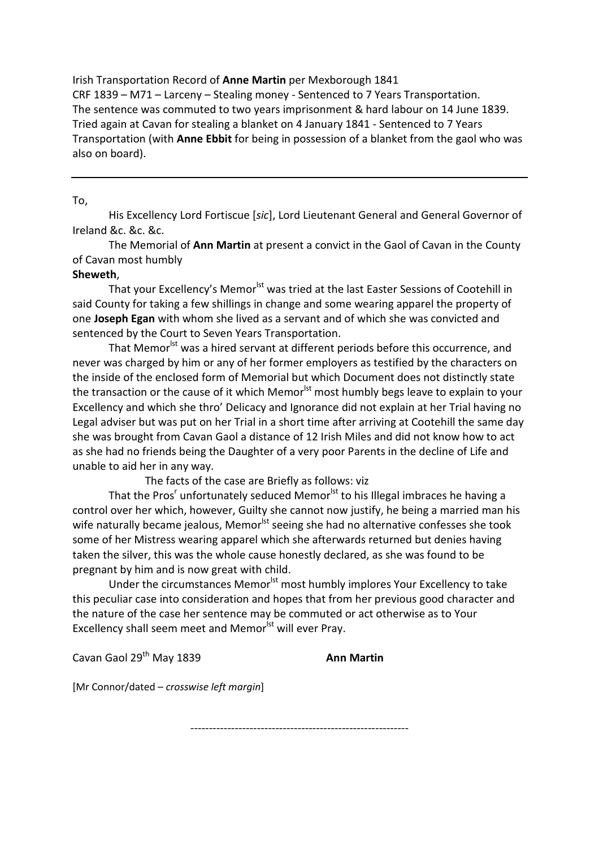Irish Transportation Record of **Anne Martin** per Mexborough 1841 CRF 1839 – M71 – Larceny – Stealing money - Sentenced to 7 Years Transportation. The sentence was commuted to two years imprisonment & hard labour on 14 June 1839. Tried again at Cavan for stealing a blanket on 4 January 1841 - Sentenced to 7 Years Transportation (with **Anne Ebbit** for being in possession of a blanket from the gaol who was also on board).

## To,

 His Excellency Lord Fortiscue [*sic*], Lord Lieutenant General and General Governor of Ireland &c. &c. &c.

 The Memorial of **Ann Martin** at present a convict in the Gaol of Cavan in the County of Cavan most humbly

### **Sheweth**,

That your Excellency's Memor<sup>lst</sup> was tried at the last Easter Sessions of Cootehill in said County for taking a few shillings in change and some wearing apparel the property of one **Joseph Egan** with whom she lived as a servant and of which she was convicted and sentenced by the Court to Seven Years Transportation.

That Memor<sup>lst</sup> was a hired servant at different periods before this occurrence, and never was charged by him or any of her former employers as testified by the characters on the inside of the enclosed form of Memorial but which Document does not distinctly state the transaction or the cause of it which Memor<sup>lst</sup> most humbly begs leave to explain to your Excellency and which she thro' Delicacy and Ignorance did not explain at her Trial having no Legal adviser but was put on her Trial in a short time after arriving at Cootehill the same day she was brought from Cavan Gaol a distance of 12 Irish Miles and did not know how to act as she had no friends being the Daughter of a very poor Parents in the decline of Life and unable to aid her in any way.

The facts of the case are Briefly as follows: viz

That the Pros<sup>r</sup> unfortunately seduced Memor<sup>lst</sup> to his Illegal imbraces he having a control over her which, however, Guilty she cannot now justify, he being a married man his wife naturally became jealous, Memor<sup>lst</sup> seeing she had no alternative confesses she took some of her Mistress wearing apparel which she afterwards returned but denies having taken the silver, this was the whole cause honestly declared, as she was found to be pregnant by him and is now great with child.

Under the circumstances Memor<sup>lst</sup> most humbly implores Your Excellency to take this peculiar case into consideration and hopes that from her previous good character and the nature of the case her sentence may be commuted or act otherwise as to Your Excellency shall seem meet and Memor<sup>lst</sup> will ever Pray.

-----------------------------------------------------------

Cavan Gaol 29th May 1839 **Ann Martin** 

[Mr Connor/dated *– crosswise left margin*]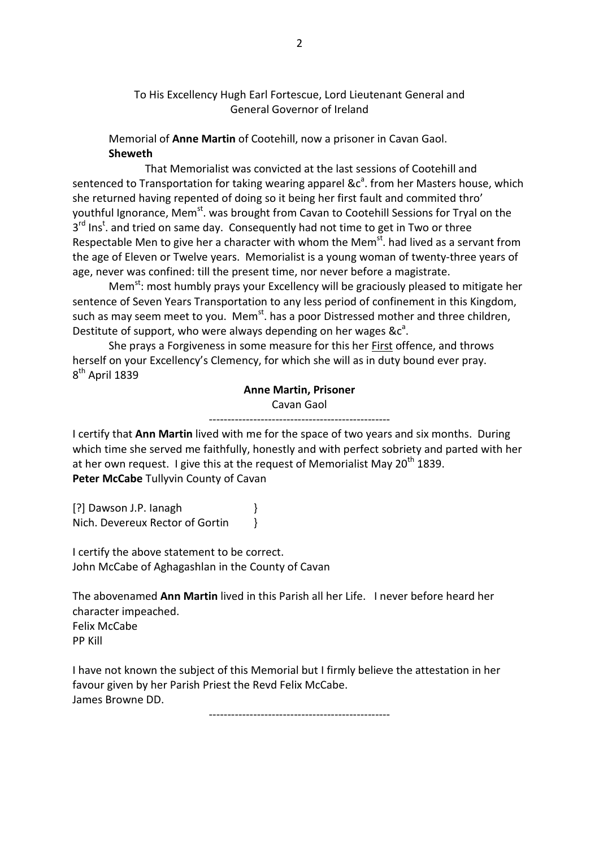# To His Excellency Hugh Earl Fortescue, Lord Lieutenant General and General Governor of Ireland

 Memorial of **Anne Martin** of Cootehill, now a prisoner in Cavan Gaol.  **Sheweth** 

 That Memorialist was convicted at the last sessions of Cootehill and sentenced to Transportation for taking wearing apparel  $\&c^a$ . from her Masters house, which she returned having repented of doing so it being her first fault and commited thro' youthful Ignorance, Mem<sup>st</sup>. was brought from Cavan to Cootehill Sessions for Tryal on the 3<sup>rd</sup> Ins<sup>t</sup>. and tried on same day. Consequently had not time to get in Two or three Respectable Men to give her a character with whom the Mem<sup>st</sup>. had lived as a servant from the age of Eleven or Twelve years. Memorialist is a young woman of twenty-three years of age, never was confined: till the present time, nor never before a magistrate.

Mem<sup>st</sup>: most humbly prays your Excellency will be graciously pleased to mitigate her sentence of Seven Years Transportation to any less period of confinement in this Kingdom, such as may seem meet to you. Mem<sup>st</sup>, has a poor Distressed mother and three children, Destitute of support, who were always depending on her wages  $\&c^a$ .

She prays a Forgiveness in some measure for this her **First offence**, and throws herself on your Excellency's Clemency, for which she will as in duty bound ever pray. 8<sup>th</sup> April 1839

# **Anne Martin, Prisoner**  Cavan Gaol

------------------------------------------------- I certify that **Ann Martin** lived with me for the space of two years and six months. During which time she served me faithfully, honestly and with perfect sobriety and parted with her at her own request. I give this at the request of Memorialist May  $20^{th}$  1839. **Peter McCabe** Tullyvin County of Cavan

[?] Dawson J.P. Ianagh } Nich. Devereux Rector of Gortin  $\{$ 

I certify the above statement to be correct. John McCabe of Aghagashlan in the County of Cavan

The abovenamed **Ann Martin** lived in this Parish all her Life. I never before heard her character impeached. Felix McCabe PP Kill

I have not known the subject of this Memorial but I firmly believe the attestation in her favour given by her Parish Priest the Revd Felix McCabe. James Browne DD.

-------------------------------------------------